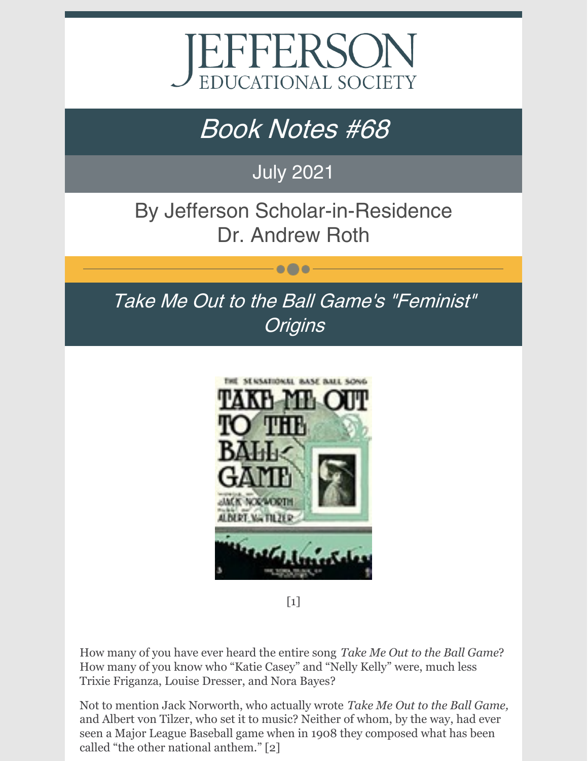

# Book Notes #68

# July 2021

By Jefferson Scholar-in-Residence Dr. Andrew Roth

 $\bullet\bullet\bullet$ 

Take Me Out to the Ball Game's "Feminist" **Origins** 



 $\lceil 1 \rceil$ 

How many of you have ever heard the entire song *Take Me Out to the Ball Game*? How many of you know who "Katie Casey" and "Nelly Kelly" were, much less Trixie Friganza, Louise Dresser, and Nora Bayes?

Not to mention Jack Norworth, who actually wrote *Take Me Out to the Ball Game,* and Albert von Tilzer, who set it to music? Neither of whom, by the way, had ever seen a Major League Baseball game when in 1908 they composed what has been called "the other national anthem." [2]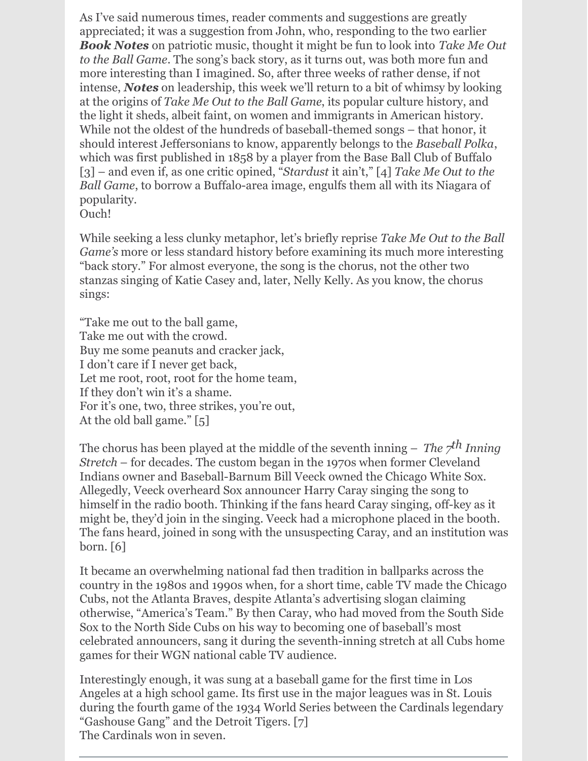As I've said numerous times, reader comments and suggestions are greatly appreciated; it was a suggestion from John, who, responding to the two earlier *Book Notes* on patriotic music, thought it might be fun to look into *Take Me Out to the Ball Game*. The song's back story, as it turns out, was both more fun and more interesting than I imagined. So, after three weeks of rather dense, if not intense, *Notes* on leadership, this week we'll return to a bit of whimsy by looking at the origins of *Take Me Out to the Ball Game*, its popular culture history, and the light it sheds, albeit faint, on women and immigrants in American history. While not the oldest of the hundreds of baseball-themed songs – that honor, it should interest Jeffersonians to know, apparently belongs to the *Baseball Polka*, which was first published in 1858 by a player from the Base Ball Club of Buffalo [3] – and even if, as one critic opined, "*Stardust* it ain't," [4] *Take Me Out to the Ball Game*, to borrow a Buffalo-area image, engulfs them all with its Niagara of popularity. Ouch!

While seeking a less clunky metaphor, let's briefly reprise *Take Me Out to the Ball Game's* more or less standard history before examining its much more interesting "back story." For almost everyone, the song is the chorus, not the other two stanzas singing of Katie Casey and, later, Nelly Kelly. As you know, the chorus sings:

"Take me out to the ball game, Take me out with the crowd. Buy me some peanuts and cracker jack, I don't care if I never get back, Let me root, root, root for the home team, If they don't win it's a shame. For it's one, two, three strikes, you're out, At the old ball game." [5]

The chorus has been played at the middle of the seventh inning – *The 7 th Inning Stretch* – for decades. The custom began in the 1970s when former Cleveland Indians owner and Baseball-Barnum Bill Veeck owned the Chicago White Sox. Allegedly, Veeck overheard Sox announcer Harry Caray singing the song to himself in the radio booth. Thinking if the fans heard Caray singing, off-key as it might be, they'd join in the singing. Veeck had a microphone placed in the booth. The fans heard, joined in song with the unsuspecting Caray, and an institution was born. [6]

It became an overwhelming national fad then tradition in ballparks across the country in the 1980s and 1990s when, for a short time, cable TV made the Chicago Cubs, not the Atlanta Braves, despite Atlanta's advertising slogan claiming otherwise, "America's Team." By then Caray, who had moved from the South Side Sox to the North Side Cubs on his way to becoming one of baseball's most celebrated announcers, sang it during the seventh-inning stretch at all Cubs home games for their WGN national cable TV audience.

Interestingly enough, it was sung at a baseball game for the first time in Los Angeles at a high school game. Its first use in the major leagues was in St. Louis during the fourth game of the 1934 World Series between the Cardinals legendary "Gashouse Gang" and the Detroit Tigers. [7] The Cardinals won in seven.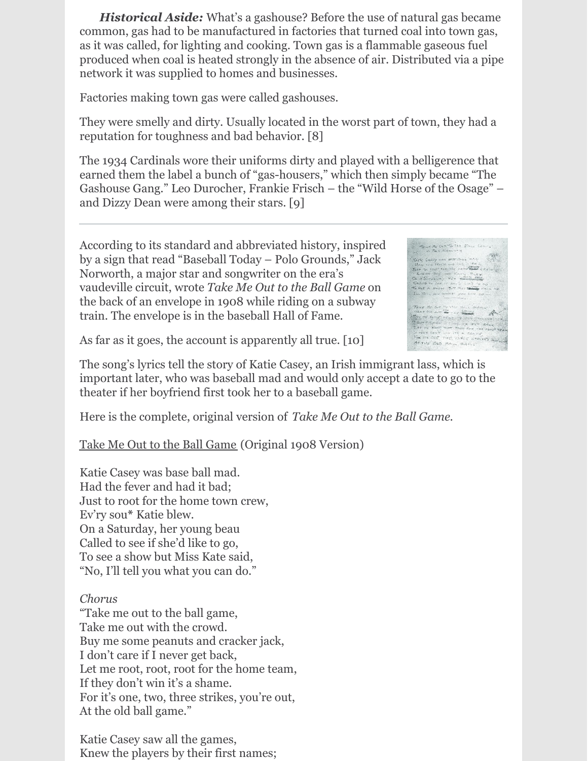*Historical Aside:* What's a gashouse? Before the use of natural gas became common, gas had to be manufactured in factories that turned coal into town gas, as it was called, for lighting and cooking. Town gas is a flammable gaseous fuel produced when coal is heated strongly in the absence of air. Distributed via a pipe network it was supplied to homes and businesses.

Factories making town gas were called gashouses.

They were smelly and dirty. Usually located in the worst part of town, they had a reputation for toughness and bad behavior. [8]

The 1934 Cardinals wore their uniforms dirty and played with a belligerence that earned them the label a bunch of "gas-housers," which then simply became "The Gashouse Gang." Leo Durocher, Frankie Frisch – the "Wild Horse of the Osage" – and Dizzy Dean were among their stars. [9]

According to its standard and abbreviated history, inspired by a sign that read "Baseball Today – Polo Grounds," Jack Norworth, a major star and songwriter on the era's vaudeville circuit, wrote *Take Me Out to the Ball Game* on the back of an envelope in 1908 while riding on a subway train. The envelope is in the baseball Hall of Fame.



As far as it goes, the account is apparently all true. [10]

The song's lyrics tell the story of Katie Casey, an Irish immigrant lass, which is important later, who was baseball mad and would only accept a date to go to the theater if her boyfriend first took her to a baseball game.

Here is the complete, original version of *Take Me Out to the Ball Game*.

Take Me Out to the Ball Game (Original 1908 Version)

Katie Casey was base ball mad. Had the fever and had it bad; Just to root for the home town crew, Ev'ry sou**\*** Katie blew. On a Saturday, her young beau Called to see if she'd like to go, To see a show but Miss Kate said, "No, I'll tell you what you can do."

## *Chorus*

"Take me out to the ball game, Take me out with the crowd. Buy me some peanuts and cracker jack, I don't care if I never get back, Let me root, root, root for the home team, If they don't win it's a shame. For it's one, two, three strikes, you're out, At the old ball game."

Katie Casey saw all the games, Knew the players by their first names;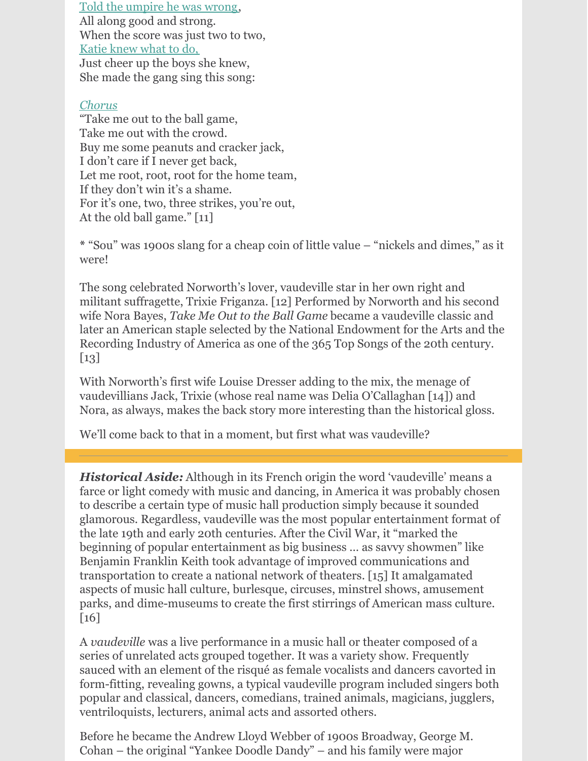Told the umpire he was wrong, All along good and strong. When the score was just two to two, Katie knew what to do, Just cheer up the boys she knew, She made the gang sing this song:

### *Chorus*

"Take me out to the ball game, Take me out with the crowd. Buy me some peanuts and cracker jack, I don't care if I never get back, Let me root, root, root for the home team, If they don't win it's a shame. For it's one, two, three strikes, you're out, At the old ball game." [11]

**\*** "Sou" was 1900s slang for a cheap coin of little value – "nickels and dimes," as it were!

The song celebrated Norworth's lover, vaudeville star in her own right and militant suffragette, Trixie Friganza. [12] Performed by Norworth and his second wife Nora Bayes, *Take Me Out to the Ball Game* became a vaudeville classic and later an American staple selected by the National Endowment for the Arts and the Recording Industry of America as one of the 365 Top Songs of the 20th century.  $\lceil 13 \rceil$ 

With Norworth's first wife Louise Dresser adding to the mix, the menage of vaudevillians Jack, Trixie (whose real name was Delia O'Callaghan [14]) and Nora, as always, makes the back story more interesting than the historical gloss.

We'll come back to that in a moment, but first what was vaudeville?

*Historical Aside:* Although in its French origin the word 'vaudeville' means a farce or light comedy with music and dancing, in America it was probably chosen to describe a certain type of music hall production simply because it sounded glamorous. Regardless, vaudeville was the most popular entertainment format of the late 19th and early 20th centuries. After the Civil War, it "marked the beginning of popular entertainment as big business … as savvy showmen" like Benjamin Franklin Keith took advantage of improved communications and transportation to create a national network of theaters. [15] It amalgamated aspects of music hall culture, burlesque, circuses, minstrel shows, amusement parks, and dime-museums to create the first stirrings of American mass culture.  $\lceil 16 \rceil$ 

A *vaudeville* was a live performance in a music hall or theater composed of a series of unrelated acts grouped together. It was a variety show. Frequently sauced with an element of the risqué as female vocalists and dancers cavorted in form-fitting, revealing gowns, a typical vaudeville program included singers both popular and classical, dancers, comedians, trained animals, magicians, jugglers, ventriloquists, lecturers, animal acts and assorted others.

Before he became the Andrew Lloyd Webber of 1900s Broadway, George M. Cohan – the original "Yankee Doodle Dandy" – and his family were major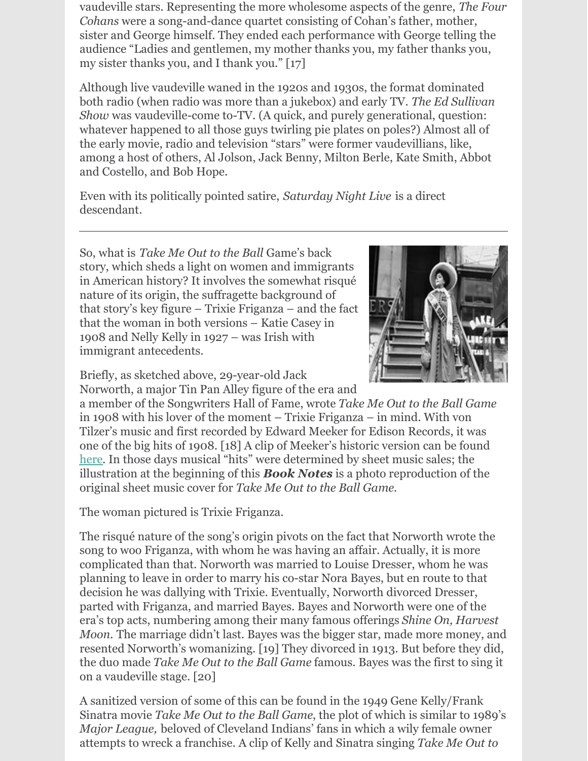vaudeville stars. Representing the more wholesome aspects of the genre, *The Four Cohans* were a song-and-dance quartet consisting of Cohan's father, mother, sister and George himself. They ended each performance with George telling the audience "Ladies and gentlemen, my mother thanks you, my father thanks you, my sister thanks you, and I thank you." [17]

Although live vaudeville waned in the 1920s and 1930s, the format dominated both radio (when radio was more than a jukebox) and early TV. *The Ed Sullivan Show* was vaudeville-come to-TV. (A quick, and purely generational, question: whatever happened to all those guys twirling pie plates on poles?) Almost all of the early movie, radio and television "stars" were former vaudevillians, like, among a host of others, Al Jolson, Jack Benny, Milton Berle, Kate Smith, Abbot and Costello, and Bob Hope.

Even with its politically pointed satire, *Saturday Night Live* is a direct descendant.

So, what is *Take Me Out to the Ball* Game's back story, which sheds a light on women and immigrants in American history? It involves the somewhat risqué nature of its origin, the suffragette background of that story's key figure – Trixie Friganza – and the fact that the woman in both versions – Katie Casey in 1908 and Nelly Kelly in 1927 – was Irish with immigrant antecedents.



Briefly, as sketched above, 29-year-old Jack Norworth, a major Tin Pan Alley figure of the era and

a member of the Songwriters Hall of Fame, wrote *Take Me Out to the Ball Game* in 1908 with his lover of the moment – Trixie Friganza – in mind. With von Tilzer's music and first recorded by Edward Meeker for Edison Records, it was one of the big hits of 1908. [18] A clip of Meeker's historic version can be found [here](https://www.youtube.com/watch?v=qXD19gWK4fU). In those days musical "hits" were determined by sheet music sales; the illustration at the beginning of this *Book Notes* is a photo reproduction of the original sheet music cover for *Take Me Out to the Ball Game*.

The woman pictured is Trixie Friganza.

The risqué nature of the song's origin pivots on the fact that Norworth wrote the song to woo Friganza, with whom he was having an affair. Actually, it is more complicated than that. Norworth was married to Louise Dresser, whom he was planning to leave in order to marry his co-star Nora Bayes, but en route to that decision he was dallying with Trixie. Eventually, Norworth divorced Dresser, parted with Friganza, and married Bayes. Bayes and Norworth were one of the era's top acts, numbering among their many famous offerings *Shine On, Harvest Moon.* The marriage didn't last. Bayes was the bigger star, made more money, and resented Norworth's womanizing. [19] They divorced in 1913. But before they did, the duo made *Take Me Out to the Ball Game* famous. Bayes was the first to sing it on a vaudeville stage. [20]

A sanitized version of some of this can be found in the 1949 Gene Kelly/Frank Sinatra movie *Take Me Out to the Ball Game*, the plot of which is similar to 1989's *Major League,* beloved of Cleveland Indians' fans in which a wily female owner attempts to wreck a franchise. A clip of Kelly and Sinatra singing *Take Me Out to*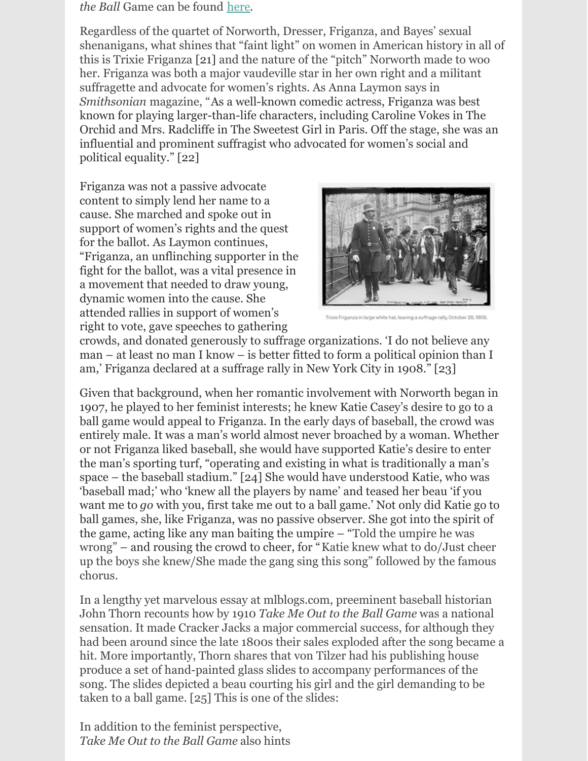#### *the Ball* Game can be found [here](https://www.youtube.com/watch?v=-r2luDoV9TI).

Regardless of the quartet of Norworth, Dresser, Friganza, and Bayes' sexual shenanigans, what shines that "faint light" on women in American history in all of this is Trixie Friganza [21] and the nature of the "pitch" Norworth made to woo her. Friganza was both a major vaudeville star in her own right and a militant suffragette and advocate for women's rights. As Anna Laymon says in *Smithsonian* magazine, "As a well-known comedic actress, Friganza was best known for playing larger-than-life characters, including Caroline Vokes in The Orchid and Mrs. Radcliffe in The Sweetest Girl in Paris. Off the stage, she was an influential and prominent suffragist who advocated for women's social and political equality." [22]

Friganza was not a passive advocate content to simply lend her name to a cause. She marched and spoke out in support of women's rights and the quest for the ballot. As Laymon continues, "Friganza, an unflinching supporter in the fight for the ballot, was a vital presence in a movement that needed to draw young, dynamic women into the cause. She attended rallies in support of women's right to vote, gave speeches to gathering



crowds, and donated generously to suffrage organizations. 'I do not believe any man – at least no man I know – is better fitted to form a political opinion than I am,' Friganza declared at a suffrage rally in New York City in 1908." [23]

Given that background, when her romantic involvement with Norworth began in 1907, he played to her feminist interests; he knew Katie Casey's desire to go to a ball game would appeal to Friganza. In the early days of baseball, the crowd was entirely male. It was a man's world almost never broached by a woman. Whether or not Friganza liked baseball, she would have supported Katie's desire to enter the man's sporting turf, "operating and existing in what is traditionally a man's space – the baseball stadium." [24] She would have understood Katie, who was 'baseball mad;' who 'knew all the players by name' and teased her beau 'if you want me to *go* with you, first take me out to a ball game.' Not only did Katie go to ball games, she, like Friganza, was no passive observer. She got into the spirit of the game, acting like any man baiting the umpire – "Told the umpire he was wrong" – and rousing the crowd to cheer, for "Katie knew what to do/Just cheer up the boys she knew/She made the gang sing this song" followed by the famous chorus.

In a lengthy yet marvelous essay at mlblogs.com, preeminent baseball historian John Thorn recounts how by 1910 *Take Me Out to the Ball Game* was a national sensation. It made Cracker Jacks a major commercial success, for although they had been around since the late 1800s their sales exploded after the song became a hit. More importantly, Thorn shares that von Tilzer had his publishing house produce a set of hand-painted glass slides to accompany performances of the song. The slides depicted a beau courting his girl and the girl demanding to be taken to a ball game. [25] This is one of the slides:

In addition to the feminist perspective, *Take Me Out to the Ball Game* also hints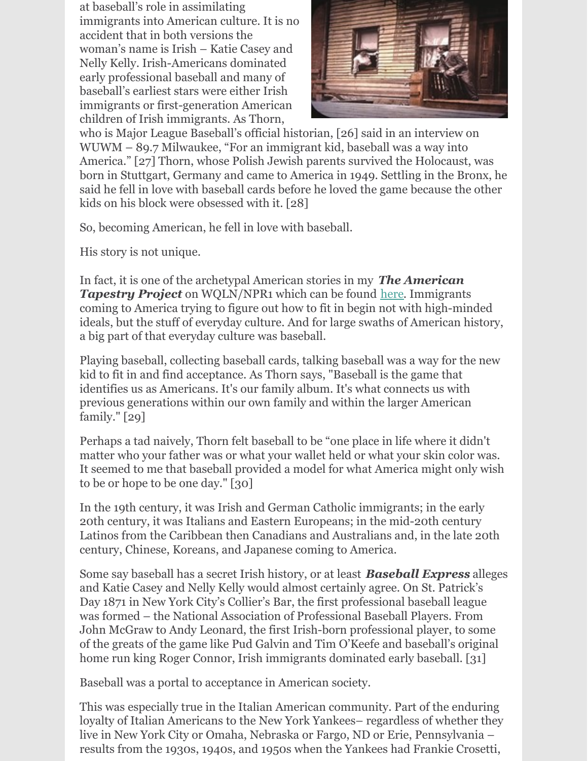at baseball's role in assimilating immigrants into American culture. It is no accident that in both versions the woman's name is Irish – Katie Casey and Nelly Kelly. Irish-Americans dominated early professional baseball and many of baseball's earliest stars were either Irish immigrants or first-generation American children of Irish immigrants. As Thorn,



who is Major League Baseball's official historian, [26] said in an interview on WUWM – 89.7 Milwaukee, "For an immigrant kid, baseball was a way into America." [27] Thorn, whose Polish Jewish parents survived the Holocaust, was born in Stuttgart, Germany and came to America in 1949. Settling in the Bronx, he said he fell in love with baseball cards before he loved the game because the other kids on his block were obsessed with it. [28]

So, becoming American, he fell in love with baseball.

His story is not unique.

In fact, it is one of the archetypal American stories in my *The American* **Tapestry Project** on WQLN/NPR1 which can be found [here](https://www.wqln.org/Listen/Podcasts/The-American-Tapestry-Project). Immigrants coming to America trying to figure out how to fit in begin not with high-minded ideals, but the stuff of everyday culture. And for large swaths of American history, a big part of that everyday culture was baseball.

Playing baseball, collecting baseball cards, talking baseball was a way for the new kid to fit in and find acceptance. As Thorn says, "Baseball is the game that identifies us as Americans. It's our family album. It's what connects us with previous generations within our own family and within the larger American family." [29]

Perhaps a tad naively, Thorn felt baseball to be "one place in life where it didn't matter who your father was or what your wallet held or what your skin color was. It seemed to me that baseball provided a model for what America might only wish to be or hope to be one day." [30]

In the 19th century, it was Irish and German Catholic immigrants; in the early 20th century, it was Italians and Eastern Europeans; in the mid-20th century Latinos from the Caribbean then Canadians and Australians and, in the late 20th century, Chinese, Koreans, and Japanese coming to America.

Some say baseball has a secret Irish history, or at least *Baseball Express* alleges and Katie Casey and Nelly Kelly would almost certainly agree. On St. Patrick's Day 1871 in New York City's Collier's Bar, the first professional baseball league was formed – the National Association of Professional Baseball Players. From John McGraw to Andy Leonard, the first Irish-born professional player, to some of the greats of the game like Pud Galvin and Tim O'Keefe and baseball's original home run king Roger Connor, Irish immigrants dominated early baseball. [31]

Baseball was a portal to acceptance in American society.

This was especially true in the Italian American community. Part of the enduring loyalty of Italian Americans to the New York Yankees– regardless of whether they live in New York City or Omaha, Nebraska or Fargo, ND or Erie, Pennsylvania – results from the 1930s, 1940s, and 1950s when the Yankees had Frankie Crosetti,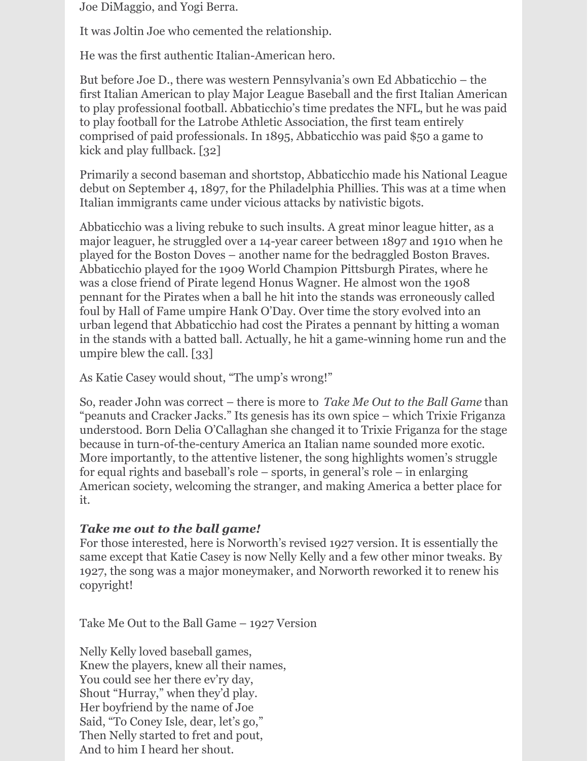Joe DiMaggio, and Yogi Berra.

It was Joltin Joe who cemented the relationship.

He was the first authentic Italian-American hero.

But before Joe D., there was western Pennsylvania's own Ed Abbaticchio – the first Italian American to play Major League Baseball and the first Italian American to play professional football. Abbaticchio's time predates the NFL, but he was paid to play football for the Latrobe Athletic Association, the first team entirely comprised of paid professionals. In 1895, Abbaticchio was paid \$50 a game to kick and play fullback. [32]

Primarily a second baseman and shortstop, Abbaticchio made his National League debut on September 4, 1897, for the Philadelphia Phillies. This was at a time when Italian immigrants came under vicious attacks by nativistic bigots.

Abbaticchio was a living rebuke to such insults. A great minor league hitter, as a major leaguer, he struggled over a 14-year career between 1897 and 1910 when he played for the Boston Doves – another name for the bedraggled Boston Braves. Abbaticchio played for the 1909 World Champion Pittsburgh Pirates, where he was a close friend of Pirate legend Honus Wagner. He almost won the 1908 pennant for the Pirates when a ball he hit into the stands was erroneously called foul by Hall of Fame umpire Hank O'Day. Over time the story evolved into an urban legend that Abbaticchio had cost the Pirates a pennant by hitting a woman in the stands with a batted ball. Actually, he hit a game-winning home run and the umpire blew the call. [33]

As Katie Casey would shout, "The ump's wrong!"

So, reader John was correct – there is more to *Take Me Out to the Ball Game* than "peanuts and Cracker Jacks." Its genesis has its own spice – which Trixie Friganza understood. Born Delia O'Callaghan she changed it to Trixie Friganza for the stage because in turn-of-the-century America an Italian name sounded more exotic. More importantly, to the attentive listener, the song highlights women's struggle for equal rights and baseball's role – sports, in general's role – in enlarging American society, welcoming the stranger, and making America a better place for it.

## *Take me out to the ball game!*

For those interested, here is Norworth's revised 1927 version. It is essentially the same except that Katie Casey is now Nelly Kelly and a few other minor tweaks. By 1927, the song was a major moneymaker, and Norworth reworked it to renew his copyright!

Take Me Out to the Ball Game – 1927 Version

Nelly Kelly loved baseball games, Knew the players, knew all their names, You could see her there ev'ry day, Shout "Hurray," when they'd play. Her boyfriend by the name of Joe Said, "To Coney Isle, dear, let's go," Then Nelly started to fret and pout, And to him I heard her shout.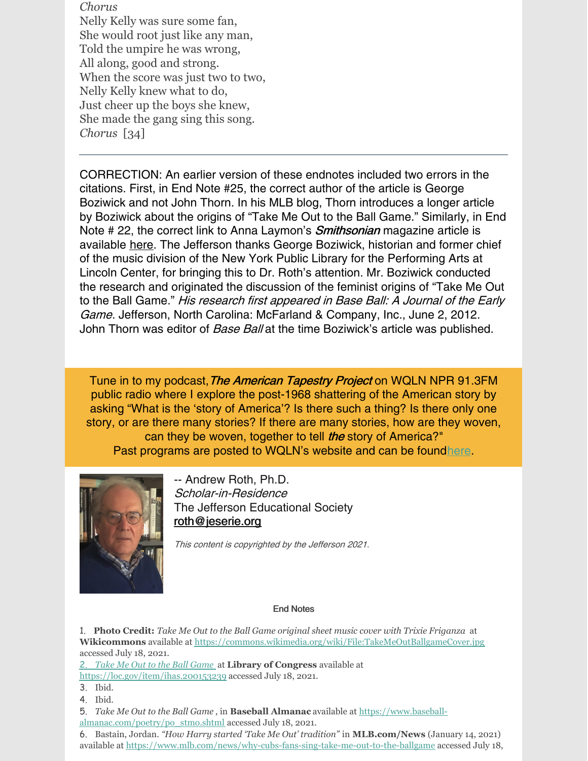*Chorus* Nelly Kelly was sure some fan, She would root just like any man, Told the umpire he was wrong, All along, good and strong. When the score was just two to two, Nelly Kelly knew what to do, Just cheer up the boys she knew, She made the gang sing this song. *Chorus* [34]

CORRECTION: An earlier version of these endnotes included two errors in the citations. First, in End Note #25, the correct author of the article is George Boziwick and not John Thorn. In his MLB blog, Thorn introduces a longer article by Boziwick about the origins of "Take Me Out to the Ball Game." Similarly, in End Note # 22, the correct link to Anna Laymon's **Smithsonian** magazine article is available [here](https://www.smithsonianmag.com/history/feminist-history-take-me-out-ball-game-180973307/). The Jefferson thanks George Boziwick, historian and former chief of the music division of the New York Public Library for the Performing Arts at Lincoln Center, for bringing this to Dr. Roth's attention. Mr. Boziwick conducted the research and originated the discussion of the feminist origins of "Take Me Out to the Ball Game." His research first appeared in Base Ball: A Journal of the Early Game. Jefferson, North Carolina: McFarland & Company, Inc., June 2, 2012. John Thorn was editor of Base Ball at the time Boziwick's article was published.

Tune in to my podcast, The American Tapestry Project on WQLN NPR 91.3FM public radio where I explore the post-1968 shattering of the American story by asking "What is the 'story of America'? Is there such a thing? Is there only one story, or are there many stories? If there are many stories, how are they woven, can they be woven, together to tell *the* story of America?" Past programs are posted to WQLN's website and can be foun[dhere](https://www.wqln.org/Listen/Podcasts/The-American-Tapestry-Project).



-- Andrew Roth, Ph.D. Scholar-in-Residence The Jefferson Educational Society [roth@jeserie.org](mailto:roth@jeserie.org)

This content is copyrighted by the Jefferson 2021.

#### End Notes

1. **Photo Credit:** *Take Me Out to the Ball Game original sheet music cover with Trixie Friganza* at **Wikicommons** available at <https://commons.wikimedia.org/wiki/File:TakeMeOutBallgameCover.jpg> accessed July 18, 2021.

2. *Take Me Out to the Ball Game* at **Library of Congress** available at <https://loc.gov/item/ihas.200153239> accessed July 18, 2021.

- 3. Ibid.
- 4. Ibid.

5. *Take Me Out to the Ball Game* , in **Baseball Almanac** available at https://www.baseball[almanac.com/poetry/po\\_stmo.shtml](https://www.baseball-almanac.com/poetry/po_stmo.shtml) accessed July 18, 2021.

6. Bastain, Jordan. *"How Harry started 'Take Me Out' tradition"* in **MLB.com/News** (January 14, 2021) available at <https://www.mlb.com/news/why-cubs-fans-sing-take-me-out-to-the-ballgame> accessed July 18,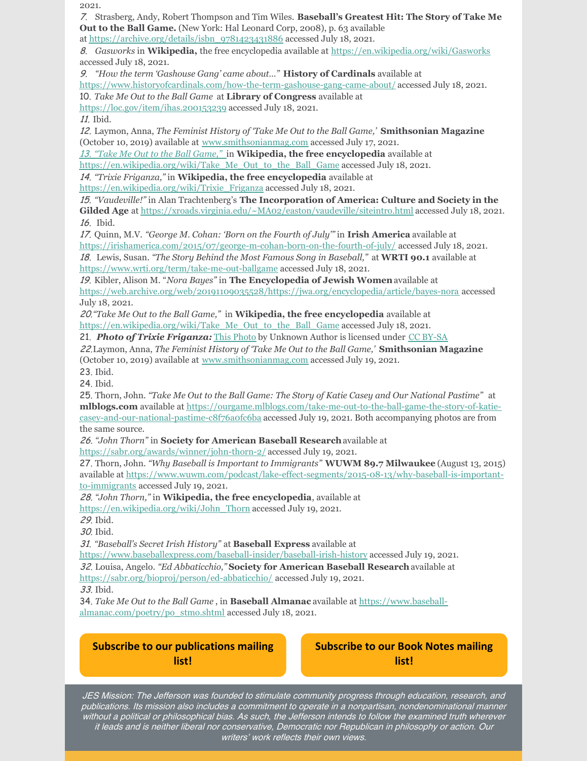$001$ 

| Out to the Ball Game. (New York: Hal Leonard Corp, 2008), p. 63 available<br>at https://archive.org/details/isbn 9781423431886 accessed July 18, 2021.<br>8. Gasworks in Wikipedia, the free encyclopedia available at https://en.wikipedia.org/wiki/Gasworks<br>accessed July 18, 2021.<br>9. "How the term 'Gashouse Gang' came about" History of Cardinals available at<br>https://www.historyofcardinals.com/how-the-term-gashouse-gang-came-about/ accessed July 18, 2021.<br>10. Take Me Out to the Ball Game at Library of Congress available at<br>https://loc.gov/item/ihas.200153239 accessed July 18, 2021.<br>11. Ibid.<br>12. Laymon, Anna, The Feminist History of 'Take Me Out to the Ball Game,' Smithsonian Magazine<br>(October 10, 2019) available at www.smithsonianmag.com accessed July 17, 2021.<br>13. "Take Me Out to the Ball Game," in Wikipedia, the free encyclopedia available at<br>https://en.wikipedia.org/wiki/Take Me Out to the Ball Game accessed July 18, 2021.<br>14. "Trixie Friganza," in Wikipedia, the free encyclopedia available at<br>https://en.wikipedia.org/wiki/Trixie Friganza accessed July 18, 2021.<br>15. "Vaudeville!" in Alan Trachtenberg's The Incorporation of America: Culture and Society in the<br>Gilded Age at https://xroads.virginia.edu/~MA02/easton/vaudeville/siteintro.html accessed July 18, 2021.<br>16. Ibid.<br>17. Quinn, M.V. "George M. Cohan: 'Born on the Fourth of July" in Irish America available at<br>https://irishamerica.com/2015/07/george-m-cohan-born-on-the-fourth-of-july/ accessed July 18, 2021.<br>18. Lewis, Susan. "The Story Behind the Most Famous Song in Baseball," at WRTI 90.1 available at<br>https://www.wrti.org/term/take-me-out-ballgame accessed July 18, 2021.<br>19. Kibler, Alison M. "Nora Bayes" in The Encyclopedia of Jewish Women available at<br>https://web.archive.org/web/20191109035528/https://jwa.org/encyclopedia/article/bayes-nora accessed<br>July 18, 2021.<br>20. "Take Me Out to the Ball Game," in Wikipedia, the free encyclopedia available at<br>https://en.wikipedia.org/wiki/Take Me Out to the Ball Game accessed July 18, 2021.<br>21. Photo of Trixie Friganza: This Photo by Unknown Author is licensed under CC BY-SA<br>22. Laymon, Anna, The Feminist History of Take Me Out to the Ball Game,' Smithsonian Magazine<br>(October 10, 2019) available at www.smithsonianmag.com accessed July 19, 2021.<br>23. Ibid.<br>24. Ibid.<br>25. Thorn, John. "Take Me Out to the Ball Game: The Story of Katie Casey and Our National Pastime" at<br>miblogs.com available at https://ourgame.miblogs.com/take-me-out-to-the-ball-game-the-story-of-katie-<br>casey-and-our-national-pastime-c8f76a0fc6ba accessed July 19, 2021. Both accompanying photos are from<br>the same source.<br>26. "John Thorn" in Society for American Baseball Research available at<br>https://sabr.org/awards/winner/john-thorn-2/ accessed July 19, 2021.<br>27. Thorn, John. "Why Baseball is Important to Immigrants" WUWM 89.7 Milwaukee (August 13, 2015)<br>available at https://www.wuwm.com/podcast/lake-effect-segments/2015-08-13/why-baseball-is-important-<br>to-immigrants accessed July 19, 2021.<br>28. "John Thorn," in Wikipedia, the free encyclopedia, available at<br>https://en.wikipedia.org/wiki/John Thorn accessed July 19, 2021.<br>29. Ibid.<br>30. Ibid.<br>31. "Baseball's Secret Irish History" at Baseball Express available at<br>https://www.baseballexpress.com/baseball-insider/baseball-irish-history accessed July 19, 2021.<br>32. Louisa, Angelo. "Ed Abbaticchio," Society for American Baseball Research available at<br>https://sabr.org/bioproj/person/ed-abbaticchio/ accessed July 19, 2021.<br>33. Ibid.<br>34. Take Me Out to the Ball Game, in Baseball Almanac available at https://www.baseball-<br>almanac.com/poetry/po stmo.shtml accessed July 18, 2021.<br><b>Subscribe to our publications mailing</b><br><b>Subscribe to our Book Notes mailing</b><br>list!<br>list! | 2021.                                                                                            |
|--------------------------------------------------------------------------------------------------------------------------------------------------------------------------------------------------------------------------------------------------------------------------------------------------------------------------------------------------------------------------------------------------------------------------------------------------------------------------------------------------------------------------------------------------------------------------------------------------------------------------------------------------------------------------------------------------------------------------------------------------------------------------------------------------------------------------------------------------------------------------------------------------------------------------------------------------------------------------------------------------------------------------------------------------------------------------------------------------------------------------------------------------------------------------------------------------------------------------------------------------------------------------------------------------------------------------------------------------------------------------------------------------------------------------------------------------------------------------------------------------------------------------------------------------------------------------------------------------------------------------------------------------------------------------------------------------------------------------------------------------------------------------------------------------------------------------------------------------------------------------------------------------------------------------------------------------------------------------------------------------------------------------------------------------------------------------------------------------------------------------------------------------------------------------------------------------------------------------------------------------------------------------------------------------------------------------------------------------------------------------------------------------------------------------------------------------------------------------------------------------------------------------------------------------------------------------------------------------------------------------------------------------------------------------------------------------------------------------------------------------------------------------------------------------------------------------------------------------------------------------------------------------------------------------------------------------------------------------------------------------------------------------------------------------------------------------------------------------------------------------------------------------------------------------------------------------------------------------------------------------------------------------------------------------------------------------------------------------------------------------------------------------------------------------------------------------------------------------------------------------------------------------------------------------------------------------------------------------------------------------------------------------------------------------------------------------------------------------------------------------------------------------------------------------------------------------------------------------------------------------------------------------------------------------------------------------------------------------------------------------------------------------------------------------------|--------------------------------------------------------------------------------------------------|
|                                                                                                                                                                                                                                                                                                                                                                                                                                                                                                                                                                                                                                                                                                                                                                                                                                                                                                                                                                                                                                                                                                                                                                                                                                                                                                                                                                                                                                                                                                                                                                                                                                                                                                                                                                                                                                                                                                                                                                                                                                                                                                                                                                                                                                                                                                                                                                                                                                                                                                                                                                                                                                                                                                                                                                                                                                                                                                                                                                                                                                                                                                                                                                                                                                                                                                                                                                                                                                                                                                                                                                                                                                                                                                                                                                                                                                                                                                                                                                                                                                                        | 7. Strasberg, Andy, Robert Thompson and Tim Wiles. Baseball's Greatest Hit: The Story of Take Me |
|                                                                                                                                                                                                                                                                                                                                                                                                                                                                                                                                                                                                                                                                                                                                                                                                                                                                                                                                                                                                                                                                                                                                                                                                                                                                                                                                                                                                                                                                                                                                                                                                                                                                                                                                                                                                                                                                                                                                                                                                                                                                                                                                                                                                                                                                                                                                                                                                                                                                                                                                                                                                                                                                                                                                                                                                                                                                                                                                                                                                                                                                                                                                                                                                                                                                                                                                                                                                                                                                                                                                                                                                                                                                                                                                                                                                                                                                                                                                                                                                                                                        |                                                                                                  |
|                                                                                                                                                                                                                                                                                                                                                                                                                                                                                                                                                                                                                                                                                                                                                                                                                                                                                                                                                                                                                                                                                                                                                                                                                                                                                                                                                                                                                                                                                                                                                                                                                                                                                                                                                                                                                                                                                                                                                                                                                                                                                                                                                                                                                                                                                                                                                                                                                                                                                                                                                                                                                                                                                                                                                                                                                                                                                                                                                                                                                                                                                                                                                                                                                                                                                                                                                                                                                                                                                                                                                                                                                                                                                                                                                                                                                                                                                                                                                                                                                                                        |                                                                                                  |
|                                                                                                                                                                                                                                                                                                                                                                                                                                                                                                                                                                                                                                                                                                                                                                                                                                                                                                                                                                                                                                                                                                                                                                                                                                                                                                                                                                                                                                                                                                                                                                                                                                                                                                                                                                                                                                                                                                                                                                                                                                                                                                                                                                                                                                                                                                                                                                                                                                                                                                                                                                                                                                                                                                                                                                                                                                                                                                                                                                                                                                                                                                                                                                                                                                                                                                                                                                                                                                                                                                                                                                                                                                                                                                                                                                                                                                                                                                                                                                                                                                                        |                                                                                                  |
|                                                                                                                                                                                                                                                                                                                                                                                                                                                                                                                                                                                                                                                                                                                                                                                                                                                                                                                                                                                                                                                                                                                                                                                                                                                                                                                                                                                                                                                                                                                                                                                                                                                                                                                                                                                                                                                                                                                                                                                                                                                                                                                                                                                                                                                                                                                                                                                                                                                                                                                                                                                                                                                                                                                                                                                                                                                                                                                                                                                                                                                                                                                                                                                                                                                                                                                                                                                                                                                                                                                                                                                                                                                                                                                                                                                                                                                                                                                                                                                                                                                        |                                                                                                  |
|                                                                                                                                                                                                                                                                                                                                                                                                                                                                                                                                                                                                                                                                                                                                                                                                                                                                                                                                                                                                                                                                                                                                                                                                                                                                                                                                                                                                                                                                                                                                                                                                                                                                                                                                                                                                                                                                                                                                                                                                                                                                                                                                                                                                                                                                                                                                                                                                                                                                                                                                                                                                                                                                                                                                                                                                                                                                                                                                                                                                                                                                                                                                                                                                                                                                                                                                                                                                                                                                                                                                                                                                                                                                                                                                                                                                                                                                                                                                                                                                                                                        |                                                                                                  |
|                                                                                                                                                                                                                                                                                                                                                                                                                                                                                                                                                                                                                                                                                                                                                                                                                                                                                                                                                                                                                                                                                                                                                                                                                                                                                                                                                                                                                                                                                                                                                                                                                                                                                                                                                                                                                                                                                                                                                                                                                                                                                                                                                                                                                                                                                                                                                                                                                                                                                                                                                                                                                                                                                                                                                                                                                                                                                                                                                                                                                                                                                                                                                                                                                                                                                                                                                                                                                                                                                                                                                                                                                                                                                                                                                                                                                                                                                                                                                                                                                                                        |                                                                                                  |
|                                                                                                                                                                                                                                                                                                                                                                                                                                                                                                                                                                                                                                                                                                                                                                                                                                                                                                                                                                                                                                                                                                                                                                                                                                                                                                                                                                                                                                                                                                                                                                                                                                                                                                                                                                                                                                                                                                                                                                                                                                                                                                                                                                                                                                                                                                                                                                                                                                                                                                                                                                                                                                                                                                                                                                                                                                                                                                                                                                                                                                                                                                                                                                                                                                                                                                                                                                                                                                                                                                                                                                                                                                                                                                                                                                                                                                                                                                                                                                                                                                                        |                                                                                                  |
|                                                                                                                                                                                                                                                                                                                                                                                                                                                                                                                                                                                                                                                                                                                                                                                                                                                                                                                                                                                                                                                                                                                                                                                                                                                                                                                                                                                                                                                                                                                                                                                                                                                                                                                                                                                                                                                                                                                                                                                                                                                                                                                                                                                                                                                                                                                                                                                                                                                                                                                                                                                                                                                                                                                                                                                                                                                                                                                                                                                                                                                                                                                                                                                                                                                                                                                                                                                                                                                                                                                                                                                                                                                                                                                                                                                                                                                                                                                                                                                                                                                        |                                                                                                  |
|                                                                                                                                                                                                                                                                                                                                                                                                                                                                                                                                                                                                                                                                                                                                                                                                                                                                                                                                                                                                                                                                                                                                                                                                                                                                                                                                                                                                                                                                                                                                                                                                                                                                                                                                                                                                                                                                                                                                                                                                                                                                                                                                                                                                                                                                                                                                                                                                                                                                                                                                                                                                                                                                                                                                                                                                                                                                                                                                                                                                                                                                                                                                                                                                                                                                                                                                                                                                                                                                                                                                                                                                                                                                                                                                                                                                                                                                                                                                                                                                                                                        |                                                                                                  |
|                                                                                                                                                                                                                                                                                                                                                                                                                                                                                                                                                                                                                                                                                                                                                                                                                                                                                                                                                                                                                                                                                                                                                                                                                                                                                                                                                                                                                                                                                                                                                                                                                                                                                                                                                                                                                                                                                                                                                                                                                                                                                                                                                                                                                                                                                                                                                                                                                                                                                                                                                                                                                                                                                                                                                                                                                                                                                                                                                                                                                                                                                                                                                                                                                                                                                                                                                                                                                                                                                                                                                                                                                                                                                                                                                                                                                                                                                                                                                                                                                                                        |                                                                                                  |
|                                                                                                                                                                                                                                                                                                                                                                                                                                                                                                                                                                                                                                                                                                                                                                                                                                                                                                                                                                                                                                                                                                                                                                                                                                                                                                                                                                                                                                                                                                                                                                                                                                                                                                                                                                                                                                                                                                                                                                                                                                                                                                                                                                                                                                                                                                                                                                                                                                                                                                                                                                                                                                                                                                                                                                                                                                                                                                                                                                                                                                                                                                                                                                                                                                                                                                                                                                                                                                                                                                                                                                                                                                                                                                                                                                                                                                                                                                                                                                                                                                                        |                                                                                                  |
|                                                                                                                                                                                                                                                                                                                                                                                                                                                                                                                                                                                                                                                                                                                                                                                                                                                                                                                                                                                                                                                                                                                                                                                                                                                                                                                                                                                                                                                                                                                                                                                                                                                                                                                                                                                                                                                                                                                                                                                                                                                                                                                                                                                                                                                                                                                                                                                                                                                                                                                                                                                                                                                                                                                                                                                                                                                                                                                                                                                                                                                                                                                                                                                                                                                                                                                                                                                                                                                                                                                                                                                                                                                                                                                                                                                                                                                                                                                                                                                                                                                        |                                                                                                  |
|                                                                                                                                                                                                                                                                                                                                                                                                                                                                                                                                                                                                                                                                                                                                                                                                                                                                                                                                                                                                                                                                                                                                                                                                                                                                                                                                                                                                                                                                                                                                                                                                                                                                                                                                                                                                                                                                                                                                                                                                                                                                                                                                                                                                                                                                                                                                                                                                                                                                                                                                                                                                                                                                                                                                                                                                                                                                                                                                                                                                                                                                                                                                                                                                                                                                                                                                                                                                                                                                                                                                                                                                                                                                                                                                                                                                                                                                                                                                                                                                                                                        |                                                                                                  |
|                                                                                                                                                                                                                                                                                                                                                                                                                                                                                                                                                                                                                                                                                                                                                                                                                                                                                                                                                                                                                                                                                                                                                                                                                                                                                                                                                                                                                                                                                                                                                                                                                                                                                                                                                                                                                                                                                                                                                                                                                                                                                                                                                                                                                                                                                                                                                                                                                                                                                                                                                                                                                                                                                                                                                                                                                                                                                                                                                                                                                                                                                                                                                                                                                                                                                                                                                                                                                                                                                                                                                                                                                                                                                                                                                                                                                                                                                                                                                                                                                                                        |                                                                                                  |
|                                                                                                                                                                                                                                                                                                                                                                                                                                                                                                                                                                                                                                                                                                                                                                                                                                                                                                                                                                                                                                                                                                                                                                                                                                                                                                                                                                                                                                                                                                                                                                                                                                                                                                                                                                                                                                                                                                                                                                                                                                                                                                                                                                                                                                                                                                                                                                                                                                                                                                                                                                                                                                                                                                                                                                                                                                                                                                                                                                                                                                                                                                                                                                                                                                                                                                                                                                                                                                                                                                                                                                                                                                                                                                                                                                                                                                                                                                                                                                                                                                                        |                                                                                                  |
|                                                                                                                                                                                                                                                                                                                                                                                                                                                                                                                                                                                                                                                                                                                                                                                                                                                                                                                                                                                                                                                                                                                                                                                                                                                                                                                                                                                                                                                                                                                                                                                                                                                                                                                                                                                                                                                                                                                                                                                                                                                                                                                                                                                                                                                                                                                                                                                                                                                                                                                                                                                                                                                                                                                                                                                                                                                                                                                                                                                                                                                                                                                                                                                                                                                                                                                                                                                                                                                                                                                                                                                                                                                                                                                                                                                                                                                                                                                                                                                                                                                        |                                                                                                  |
|                                                                                                                                                                                                                                                                                                                                                                                                                                                                                                                                                                                                                                                                                                                                                                                                                                                                                                                                                                                                                                                                                                                                                                                                                                                                                                                                                                                                                                                                                                                                                                                                                                                                                                                                                                                                                                                                                                                                                                                                                                                                                                                                                                                                                                                                                                                                                                                                                                                                                                                                                                                                                                                                                                                                                                                                                                                                                                                                                                                                                                                                                                                                                                                                                                                                                                                                                                                                                                                                                                                                                                                                                                                                                                                                                                                                                                                                                                                                                                                                                                                        |                                                                                                  |
|                                                                                                                                                                                                                                                                                                                                                                                                                                                                                                                                                                                                                                                                                                                                                                                                                                                                                                                                                                                                                                                                                                                                                                                                                                                                                                                                                                                                                                                                                                                                                                                                                                                                                                                                                                                                                                                                                                                                                                                                                                                                                                                                                                                                                                                                                                                                                                                                                                                                                                                                                                                                                                                                                                                                                                                                                                                                                                                                                                                                                                                                                                                                                                                                                                                                                                                                                                                                                                                                                                                                                                                                                                                                                                                                                                                                                                                                                                                                                                                                                                                        |                                                                                                  |
|                                                                                                                                                                                                                                                                                                                                                                                                                                                                                                                                                                                                                                                                                                                                                                                                                                                                                                                                                                                                                                                                                                                                                                                                                                                                                                                                                                                                                                                                                                                                                                                                                                                                                                                                                                                                                                                                                                                                                                                                                                                                                                                                                                                                                                                                                                                                                                                                                                                                                                                                                                                                                                                                                                                                                                                                                                                                                                                                                                                                                                                                                                                                                                                                                                                                                                                                                                                                                                                                                                                                                                                                                                                                                                                                                                                                                                                                                                                                                                                                                                                        |                                                                                                  |
|                                                                                                                                                                                                                                                                                                                                                                                                                                                                                                                                                                                                                                                                                                                                                                                                                                                                                                                                                                                                                                                                                                                                                                                                                                                                                                                                                                                                                                                                                                                                                                                                                                                                                                                                                                                                                                                                                                                                                                                                                                                                                                                                                                                                                                                                                                                                                                                                                                                                                                                                                                                                                                                                                                                                                                                                                                                                                                                                                                                                                                                                                                                                                                                                                                                                                                                                                                                                                                                                                                                                                                                                                                                                                                                                                                                                                                                                                                                                                                                                                                                        |                                                                                                  |
|                                                                                                                                                                                                                                                                                                                                                                                                                                                                                                                                                                                                                                                                                                                                                                                                                                                                                                                                                                                                                                                                                                                                                                                                                                                                                                                                                                                                                                                                                                                                                                                                                                                                                                                                                                                                                                                                                                                                                                                                                                                                                                                                                                                                                                                                                                                                                                                                                                                                                                                                                                                                                                                                                                                                                                                                                                                                                                                                                                                                                                                                                                                                                                                                                                                                                                                                                                                                                                                                                                                                                                                                                                                                                                                                                                                                                                                                                                                                                                                                                                                        |                                                                                                  |
|                                                                                                                                                                                                                                                                                                                                                                                                                                                                                                                                                                                                                                                                                                                                                                                                                                                                                                                                                                                                                                                                                                                                                                                                                                                                                                                                                                                                                                                                                                                                                                                                                                                                                                                                                                                                                                                                                                                                                                                                                                                                                                                                                                                                                                                                                                                                                                                                                                                                                                                                                                                                                                                                                                                                                                                                                                                                                                                                                                                                                                                                                                                                                                                                                                                                                                                                                                                                                                                                                                                                                                                                                                                                                                                                                                                                                                                                                                                                                                                                                                                        |                                                                                                  |
|                                                                                                                                                                                                                                                                                                                                                                                                                                                                                                                                                                                                                                                                                                                                                                                                                                                                                                                                                                                                                                                                                                                                                                                                                                                                                                                                                                                                                                                                                                                                                                                                                                                                                                                                                                                                                                                                                                                                                                                                                                                                                                                                                                                                                                                                                                                                                                                                                                                                                                                                                                                                                                                                                                                                                                                                                                                                                                                                                                                                                                                                                                                                                                                                                                                                                                                                                                                                                                                                                                                                                                                                                                                                                                                                                                                                                                                                                                                                                                                                                                                        |                                                                                                  |
|                                                                                                                                                                                                                                                                                                                                                                                                                                                                                                                                                                                                                                                                                                                                                                                                                                                                                                                                                                                                                                                                                                                                                                                                                                                                                                                                                                                                                                                                                                                                                                                                                                                                                                                                                                                                                                                                                                                                                                                                                                                                                                                                                                                                                                                                                                                                                                                                                                                                                                                                                                                                                                                                                                                                                                                                                                                                                                                                                                                                                                                                                                                                                                                                                                                                                                                                                                                                                                                                                                                                                                                                                                                                                                                                                                                                                                                                                                                                                                                                                                                        |                                                                                                  |
|                                                                                                                                                                                                                                                                                                                                                                                                                                                                                                                                                                                                                                                                                                                                                                                                                                                                                                                                                                                                                                                                                                                                                                                                                                                                                                                                                                                                                                                                                                                                                                                                                                                                                                                                                                                                                                                                                                                                                                                                                                                                                                                                                                                                                                                                                                                                                                                                                                                                                                                                                                                                                                                                                                                                                                                                                                                                                                                                                                                                                                                                                                                                                                                                                                                                                                                                                                                                                                                                                                                                                                                                                                                                                                                                                                                                                                                                                                                                                                                                                                                        |                                                                                                  |
|                                                                                                                                                                                                                                                                                                                                                                                                                                                                                                                                                                                                                                                                                                                                                                                                                                                                                                                                                                                                                                                                                                                                                                                                                                                                                                                                                                                                                                                                                                                                                                                                                                                                                                                                                                                                                                                                                                                                                                                                                                                                                                                                                                                                                                                                                                                                                                                                                                                                                                                                                                                                                                                                                                                                                                                                                                                                                                                                                                                                                                                                                                                                                                                                                                                                                                                                                                                                                                                                                                                                                                                                                                                                                                                                                                                                                                                                                                                                                                                                                                                        |                                                                                                  |
|                                                                                                                                                                                                                                                                                                                                                                                                                                                                                                                                                                                                                                                                                                                                                                                                                                                                                                                                                                                                                                                                                                                                                                                                                                                                                                                                                                                                                                                                                                                                                                                                                                                                                                                                                                                                                                                                                                                                                                                                                                                                                                                                                                                                                                                                                                                                                                                                                                                                                                                                                                                                                                                                                                                                                                                                                                                                                                                                                                                                                                                                                                                                                                                                                                                                                                                                                                                                                                                                                                                                                                                                                                                                                                                                                                                                                                                                                                                                                                                                                                                        |                                                                                                  |
|                                                                                                                                                                                                                                                                                                                                                                                                                                                                                                                                                                                                                                                                                                                                                                                                                                                                                                                                                                                                                                                                                                                                                                                                                                                                                                                                                                                                                                                                                                                                                                                                                                                                                                                                                                                                                                                                                                                                                                                                                                                                                                                                                                                                                                                                                                                                                                                                                                                                                                                                                                                                                                                                                                                                                                                                                                                                                                                                                                                                                                                                                                                                                                                                                                                                                                                                                                                                                                                                                                                                                                                                                                                                                                                                                                                                                                                                                                                                                                                                                                                        |                                                                                                  |
|                                                                                                                                                                                                                                                                                                                                                                                                                                                                                                                                                                                                                                                                                                                                                                                                                                                                                                                                                                                                                                                                                                                                                                                                                                                                                                                                                                                                                                                                                                                                                                                                                                                                                                                                                                                                                                                                                                                                                                                                                                                                                                                                                                                                                                                                                                                                                                                                                                                                                                                                                                                                                                                                                                                                                                                                                                                                                                                                                                                                                                                                                                                                                                                                                                                                                                                                                                                                                                                                                                                                                                                                                                                                                                                                                                                                                                                                                                                                                                                                                                                        |                                                                                                  |
|                                                                                                                                                                                                                                                                                                                                                                                                                                                                                                                                                                                                                                                                                                                                                                                                                                                                                                                                                                                                                                                                                                                                                                                                                                                                                                                                                                                                                                                                                                                                                                                                                                                                                                                                                                                                                                                                                                                                                                                                                                                                                                                                                                                                                                                                                                                                                                                                                                                                                                                                                                                                                                                                                                                                                                                                                                                                                                                                                                                                                                                                                                                                                                                                                                                                                                                                                                                                                                                                                                                                                                                                                                                                                                                                                                                                                                                                                                                                                                                                                                                        |                                                                                                  |
|                                                                                                                                                                                                                                                                                                                                                                                                                                                                                                                                                                                                                                                                                                                                                                                                                                                                                                                                                                                                                                                                                                                                                                                                                                                                                                                                                                                                                                                                                                                                                                                                                                                                                                                                                                                                                                                                                                                                                                                                                                                                                                                                                                                                                                                                                                                                                                                                                                                                                                                                                                                                                                                                                                                                                                                                                                                                                                                                                                                                                                                                                                                                                                                                                                                                                                                                                                                                                                                                                                                                                                                                                                                                                                                                                                                                                                                                                                                                                                                                                                                        |                                                                                                  |
|                                                                                                                                                                                                                                                                                                                                                                                                                                                                                                                                                                                                                                                                                                                                                                                                                                                                                                                                                                                                                                                                                                                                                                                                                                                                                                                                                                                                                                                                                                                                                                                                                                                                                                                                                                                                                                                                                                                                                                                                                                                                                                                                                                                                                                                                                                                                                                                                                                                                                                                                                                                                                                                                                                                                                                                                                                                                                                                                                                                                                                                                                                                                                                                                                                                                                                                                                                                                                                                                                                                                                                                                                                                                                                                                                                                                                                                                                                                                                                                                                                                        |                                                                                                  |
|                                                                                                                                                                                                                                                                                                                                                                                                                                                                                                                                                                                                                                                                                                                                                                                                                                                                                                                                                                                                                                                                                                                                                                                                                                                                                                                                                                                                                                                                                                                                                                                                                                                                                                                                                                                                                                                                                                                                                                                                                                                                                                                                                                                                                                                                                                                                                                                                                                                                                                                                                                                                                                                                                                                                                                                                                                                                                                                                                                                                                                                                                                                                                                                                                                                                                                                                                                                                                                                                                                                                                                                                                                                                                                                                                                                                                                                                                                                                                                                                                                                        |                                                                                                  |
|                                                                                                                                                                                                                                                                                                                                                                                                                                                                                                                                                                                                                                                                                                                                                                                                                                                                                                                                                                                                                                                                                                                                                                                                                                                                                                                                                                                                                                                                                                                                                                                                                                                                                                                                                                                                                                                                                                                                                                                                                                                                                                                                                                                                                                                                                                                                                                                                                                                                                                                                                                                                                                                                                                                                                                                                                                                                                                                                                                                                                                                                                                                                                                                                                                                                                                                                                                                                                                                                                                                                                                                                                                                                                                                                                                                                                                                                                                                                                                                                                                                        |                                                                                                  |
|                                                                                                                                                                                                                                                                                                                                                                                                                                                                                                                                                                                                                                                                                                                                                                                                                                                                                                                                                                                                                                                                                                                                                                                                                                                                                                                                                                                                                                                                                                                                                                                                                                                                                                                                                                                                                                                                                                                                                                                                                                                                                                                                                                                                                                                                                                                                                                                                                                                                                                                                                                                                                                                                                                                                                                                                                                                                                                                                                                                                                                                                                                                                                                                                                                                                                                                                                                                                                                                                                                                                                                                                                                                                                                                                                                                                                                                                                                                                                                                                                                                        |                                                                                                  |
|                                                                                                                                                                                                                                                                                                                                                                                                                                                                                                                                                                                                                                                                                                                                                                                                                                                                                                                                                                                                                                                                                                                                                                                                                                                                                                                                                                                                                                                                                                                                                                                                                                                                                                                                                                                                                                                                                                                                                                                                                                                                                                                                                                                                                                                                                                                                                                                                                                                                                                                                                                                                                                                                                                                                                                                                                                                                                                                                                                                                                                                                                                                                                                                                                                                                                                                                                                                                                                                                                                                                                                                                                                                                                                                                                                                                                                                                                                                                                                                                                                                        |                                                                                                  |
|                                                                                                                                                                                                                                                                                                                                                                                                                                                                                                                                                                                                                                                                                                                                                                                                                                                                                                                                                                                                                                                                                                                                                                                                                                                                                                                                                                                                                                                                                                                                                                                                                                                                                                                                                                                                                                                                                                                                                                                                                                                                                                                                                                                                                                                                                                                                                                                                                                                                                                                                                                                                                                                                                                                                                                                                                                                                                                                                                                                                                                                                                                                                                                                                                                                                                                                                                                                                                                                                                                                                                                                                                                                                                                                                                                                                                                                                                                                                                                                                                                                        |                                                                                                  |
|                                                                                                                                                                                                                                                                                                                                                                                                                                                                                                                                                                                                                                                                                                                                                                                                                                                                                                                                                                                                                                                                                                                                                                                                                                                                                                                                                                                                                                                                                                                                                                                                                                                                                                                                                                                                                                                                                                                                                                                                                                                                                                                                                                                                                                                                                                                                                                                                                                                                                                                                                                                                                                                                                                                                                                                                                                                                                                                                                                                                                                                                                                                                                                                                                                                                                                                                                                                                                                                                                                                                                                                                                                                                                                                                                                                                                                                                                                                                                                                                                                                        |                                                                                                  |
|                                                                                                                                                                                                                                                                                                                                                                                                                                                                                                                                                                                                                                                                                                                                                                                                                                                                                                                                                                                                                                                                                                                                                                                                                                                                                                                                                                                                                                                                                                                                                                                                                                                                                                                                                                                                                                                                                                                                                                                                                                                                                                                                                                                                                                                                                                                                                                                                                                                                                                                                                                                                                                                                                                                                                                                                                                                                                                                                                                                                                                                                                                                                                                                                                                                                                                                                                                                                                                                                                                                                                                                                                                                                                                                                                                                                                                                                                                                                                                                                                                                        |                                                                                                  |
|                                                                                                                                                                                                                                                                                                                                                                                                                                                                                                                                                                                                                                                                                                                                                                                                                                                                                                                                                                                                                                                                                                                                                                                                                                                                                                                                                                                                                                                                                                                                                                                                                                                                                                                                                                                                                                                                                                                                                                                                                                                                                                                                                                                                                                                                                                                                                                                                                                                                                                                                                                                                                                                                                                                                                                                                                                                                                                                                                                                                                                                                                                                                                                                                                                                                                                                                                                                                                                                                                                                                                                                                                                                                                                                                                                                                                                                                                                                                                                                                                                                        |                                                                                                  |
|                                                                                                                                                                                                                                                                                                                                                                                                                                                                                                                                                                                                                                                                                                                                                                                                                                                                                                                                                                                                                                                                                                                                                                                                                                                                                                                                                                                                                                                                                                                                                                                                                                                                                                                                                                                                                                                                                                                                                                                                                                                                                                                                                                                                                                                                                                                                                                                                                                                                                                                                                                                                                                                                                                                                                                                                                                                                                                                                                                                                                                                                                                                                                                                                                                                                                                                                                                                                                                                                                                                                                                                                                                                                                                                                                                                                                                                                                                                                                                                                                                                        |                                                                                                  |
|                                                                                                                                                                                                                                                                                                                                                                                                                                                                                                                                                                                                                                                                                                                                                                                                                                                                                                                                                                                                                                                                                                                                                                                                                                                                                                                                                                                                                                                                                                                                                                                                                                                                                                                                                                                                                                                                                                                                                                                                                                                                                                                                                                                                                                                                                                                                                                                                                                                                                                                                                                                                                                                                                                                                                                                                                                                                                                                                                                                                                                                                                                                                                                                                                                                                                                                                                                                                                                                                                                                                                                                                                                                                                                                                                                                                                                                                                                                                                                                                                                                        |                                                                                                  |
|                                                                                                                                                                                                                                                                                                                                                                                                                                                                                                                                                                                                                                                                                                                                                                                                                                                                                                                                                                                                                                                                                                                                                                                                                                                                                                                                                                                                                                                                                                                                                                                                                                                                                                                                                                                                                                                                                                                                                                                                                                                                                                                                                                                                                                                                                                                                                                                                                                                                                                                                                                                                                                                                                                                                                                                                                                                                                                                                                                                                                                                                                                                                                                                                                                                                                                                                                                                                                                                                                                                                                                                                                                                                                                                                                                                                                                                                                                                                                                                                                                                        |                                                                                                  |
|                                                                                                                                                                                                                                                                                                                                                                                                                                                                                                                                                                                                                                                                                                                                                                                                                                                                                                                                                                                                                                                                                                                                                                                                                                                                                                                                                                                                                                                                                                                                                                                                                                                                                                                                                                                                                                                                                                                                                                                                                                                                                                                                                                                                                                                                                                                                                                                                                                                                                                                                                                                                                                                                                                                                                                                                                                                                                                                                                                                                                                                                                                                                                                                                                                                                                                                                                                                                                                                                                                                                                                                                                                                                                                                                                                                                                                                                                                                                                                                                                                                        |                                                                                                  |
|                                                                                                                                                                                                                                                                                                                                                                                                                                                                                                                                                                                                                                                                                                                                                                                                                                                                                                                                                                                                                                                                                                                                                                                                                                                                                                                                                                                                                                                                                                                                                                                                                                                                                                                                                                                                                                                                                                                                                                                                                                                                                                                                                                                                                                                                                                                                                                                                                                                                                                                                                                                                                                                                                                                                                                                                                                                                                                                                                                                                                                                                                                                                                                                                                                                                                                                                                                                                                                                                                                                                                                                                                                                                                                                                                                                                                                                                                                                                                                                                                                                        |                                                                                                  |
|                                                                                                                                                                                                                                                                                                                                                                                                                                                                                                                                                                                                                                                                                                                                                                                                                                                                                                                                                                                                                                                                                                                                                                                                                                                                                                                                                                                                                                                                                                                                                                                                                                                                                                                                                                                                                                                                                                                                                                                                                                                                                                                                                                                                                                                                                                                                                                                                                                                                                                                                                                                                                                                                                                                                                                                                                                                                                                                                                                                                                                                                                                                                                                                                                                                                                                                                                                                                                                                                                                                                                                                                                                                                                                                                                                                                                                                                                                                                                                                                                                                        |                                                                                                  |
|                                                                                                                                                                                                                                                                                                                                                                                                                                                                                                                                                                                                                                                                                                                                                                                                                                                                                                                                                                                                                                                                                                                                                                                                                                                                                                                                                                                                                                                                                                                                                                                                                                                                                                                                                                                                                                                                                                                                                                                                                                                                                                                                                                                                                                                                                                                                                                                                                                                                                                                                                                                                                                                                                                                                                                                                                                                                                                                                                                                                                                                                                                                                                                                                                                                                                                                                                                                                                                                                                                                                                                                                                                                                                                                                                                                                                                                                                                                                                                                                                                                        |                                                                                                  |
|                                                                                                                                                                                                                                                                                                                                                                                                                                                                                                                                                                                                                                                                                                                                                                                                                                                                                                                                                                                                                                                                                                                                                                                                                                                                                                                                                                                                                                                                                                                                                                                                                                                                                                                                                                                                                                                                                                                                                                                                                                                                                                                                                                                                                                                                                                                                                                                                                                                                                                                                                                                                                                                                                                                                                                                                                                                                                                                                                                                                                                                                                                                                                                                                                                                                                                                                                                                                                                                                                                                                                                                                                                                                                                                                                                                                                                                                                                                                                                                                                                                        |                                                                                                  |
|                                                                                                                                                                                                                                                                                                                                                                                                                                                                                                                                                                                                                                                                                                                                                                                                                                                                                                                                                                                                                                                                                                                                                                                                                                                                                                                                                                                                                                                                                                                                                                                                                                                                                                                                                                                                                                                                                                                                                                                                                                                                                                                                                                                                                                                                                                                                                                                                                                                                                                                                                                                                                                                                                                                                                                                                                                                                                                                                                                                                                                                                                                                                                                                                                                                                                                                                                                                                                                                                                                                                                                                                                                                                                                                                                                                                                                                                                                                                                                                                                                                        |                                                                                                  |
|                                                                                                                                                                                                                                                                                                                                                                                                                                                                                                                                                                                                                                                                                                                                                                                                                                                                                                                                                                                                                                                                                                                                                                                                                                                                                                                                                                                                                                                                                                                                                                                                                                                                                                                                                                                                                                                                                                                                                                                                                                                                                                                                                                                                                                                                                                                                                                                                                                                                                                                                                                                                                                                                                                                                                                                                                                                                                                                                                                                                                                                                                                                                                                                                                                                                                                                                                                                                                                                                                                                                                                                                                                                                                                                                                                                                                                                                                                                                                                                                                                                        |                                                                                                  |
|                                                                                                                                                                                                                                                                                                                                                                                                                                                                                                                                                                                                                                                                                                                                                                                                                                                                                                                                                                                                                                                                                                                                                                                                                                                                                                                                                                                                                                                                                                                                                                                                                                                                                                                                                                                                                                                                                                                                                                                                                                                                                                                                                                                                                                                                                                                                                                                                                                                                                                                                                                                                                                                                                                                                                                                                                                                                                                                                                                                                                                                                                                                                                                                                                                                                                                                                                                                                                                                                                                                                                                                                                                                                                                                                                                                                                                                                                                                                                                                                                                                        |                                                                                                  |
|                                                                                                                                                                                                                                                                                                                                                                                                                                                                                                                                                                                                                                                                                                                                                                                                                                                                                                                                                                                                                                                                                                                                                                                                                                                                                                                                                                                                                                                                                                                                                                                                                                                                                                                                                                                                                                                                                                                                                                                                                                                                                                                                                                                                                                                                                                                                                                                                                                                                                                                                                                                                                                                                                                                                                                                                                                                                                                                                                                                                                                                                                                                                                                                                                                                                                                                                                                                                                                                                                                                                                                                                                                                                                                                                                                                                                                                                                                                                                                                                                                                        |                                                                                                  |
|                                                                                                                                                                                                                                                                                                                                                                                                                                                                                                                                                                                                                                                                                                                                                                                                                                                                                                                                                                                                                                                                                                                                                                                                                                                                                                                                                                                                                                                                                                                                                                                                                                                                                                                                                                                                                                                                                                                                                                                                                                                                                                                                                                                                                                                                                                                                                                                                                                                                                                                                                                                                                                                                                                                                                                                                                                                                                                                                                                                                                                                                                                                                                                                                                                                                                                                                                                                                                                                                                                                                                                                                                                                                                                                                                                                                                                                                                                                                                                                                                                                        |                                                                                                  |
|                                                                                                                                                                                                                                                                                                                                                                                                                                                                                                                                                                                                                                                                                                                                                                                                                                                                                                                                                                                                                                                                                                                                                                                                                                                                                                                                                                                                                                                                                                                                                                                                                                                                                                                                                                                                                                                                                                                                                                                                                                                                                                                                                                                                                                                                                                                                                                                                                                                                                                                                                                                                                                                                                                                                                                                                                                                                                                                                                                                                                                                                                                                                                                                                                                                                                                                                                                                                                                                                                                                                                                                                                                                                                                                                                                                                                                                                                                                                                                                                                                                        |                                                                                                  |
|                                                                                                                                                                                                                                                                                                                                                                                                                                                                                                                                                                                                                                                                                                                                                                                                                                                                                                                                                                                                                                                                                                                                                                                                                                                                                                                                                                                                                                                                                                                                                                                                                                                                                                                                                                                                                                                                                                                                                                                                                                                                                                                                                                                                                                                                                                                                                                                                                                                                                                                                                                                                                                                                                                                                                                                                                                                                                                                                                                                                                                                                                                                                                                                                                                                                                                                                                                                                                                                                                                                                                                                                                                                                                                                                                                                                                                                                                                                                                                                                                                                        |                                                                                                  |
|                                                                                                                                                                                                                                                                                                                                                                                                                                                                                                                                                                                                                                                                                                                                                                                                                                                                                                                                                                                                                                                                                                                                                                                                                                                                                                                                                                                                                                                                                                                                                                                                                                                                                                                                                                                                                                                                                                                                                                                                                                                                                                                                                                                                                                                                                                                                                                                                                                                                                                                                                                                                                                                                                                                                                                                                                                                                                                                                                                                                                                                                                                                                                                                                                                                                                                                                                                                                                                                                                                                                                                                                                                                                                                                                                                                                                                                                                                                                                                                                                                                        |                                                                                                  |
|                                                                                                                                                                                                                                                                                                                                                                                                                                                                                                                                                                                                                                                                                                                                                                                                                                                                                                                                                                                                                                                                                                                                                                                                                                                                                                                                                                                                                                                                                                                                                                                                                                                                                                                                                                                                                                                                                                                                                                                                                                                                                                                                                                                                                                                                                                                                                                                                                                                                                                                                                                                                                                                                                                                                                                                                                                                                                                                                                                                                                                                                                                                                                                                                                                                                                                                                                                                                                                                                                                                                                                                                                                                                                                                                                                                                                                                                                                                                                                                                                                                        |                                                                                                  |
|                                                                                                                                                                                                                                                                                                                                                                                                                                                                                                                                                                                                                                                                                                                                                                                                                                                                                                                                                                                                                                                                                                                                                                                                                                                                                                                                                                                                                                                                                                                                                                                                                                                                                                                                                                                                                                                                                                                                                                                                                                                                                                                                                                                                                                                                                                                                                                                                                                                                                                                                                                                                                                                                                                                                                                                                                                                                                                                                                                                                                                                                                                                                                                                                                                                                                                                                                                                                                                                                                                                                                                                                                                                                                                                                                                                                                                                                                                                                                                                                                                                        |                                                                                                  |
|                                                                                                                                                                                                                                                                                                                                                                                                                                                                                                                                                                                                                                                                                                                                                                                                                                                                                                                                                                                                                                                                                                                                                                                                                                                                                                                                                                                                                                                                                                                                                                                                                                                                                                                                                                                                                                                                                                                                                                                                                                                                                                                                                                                                                                                                                                                                                                                                                                                                                                                                                                                                                                                                                                                                                                                                                                                                                                                                                                                                                                                                                                                                                                                                                                                                                                                                                                                                                                                                                                                                                                                                                                                                                                                                                                                                                                                                                                                                                                                                                                                        |                                                                                                  |
|                                                                                                                                                                                                                                                                                                                                                                                                                                                                                                                                                                                                                                                                                                                                                                                                                                                                                                                                                                                                                                                                                                                                                                                                                                                                                                                                                                                                                                                                                                                                                                                                                                                                                                                                                                                                                                                                                                                                                                                                                                                                                                                                                                                                                                                                                                                                                                                                                                                                                                                                                                                                                                                                                                                                                                                                                                                                                                                                                                                                                                                                                                                                                                                                                                                                                                                                                                                                                                                                                                                                                                                                                                                                                                                                                                                                                                                                                                                                                                                                                                                        |                                                                                                  |
|                                                                                                                                                                                                                                                                                                                                                                                                                                                                                                                                                                                                                                                                                                                                                                                                                                                                                                                                                                                                                                                                                                                                                                                                                                                                                                                                                                                                                                                                                                                                                                                                                                                                                                                                                                                                                                                                                                                                                                                                                                                                                                                                                                                                                                                                                                                                                                                                                                                                                                                                                                                                                                                                                                                                                                                                                                                                                                                                                                                                                                                                                                                                                                                                                                                                                                                                                                                                                                                                                                                                                                                                                                                                                                                                                                                                                                                                                                                                                                                                                                                        |                                                                                                  |

JES Mission: The Jefferson was founded to stimulate community progress through education, research, and publications. Its mission also includes <sup>a</sup> commitment to operate in <sup>a</sup> nonpartisan, nondenominational manner without <sup>a</sup> political or philosophical bias. As such, the Jefferson intends to follow the examined truth wherever it leads and is neither liberal nor conservative, Democratic nor Republican in philosophy or action. Our writers' work reflects their own views.